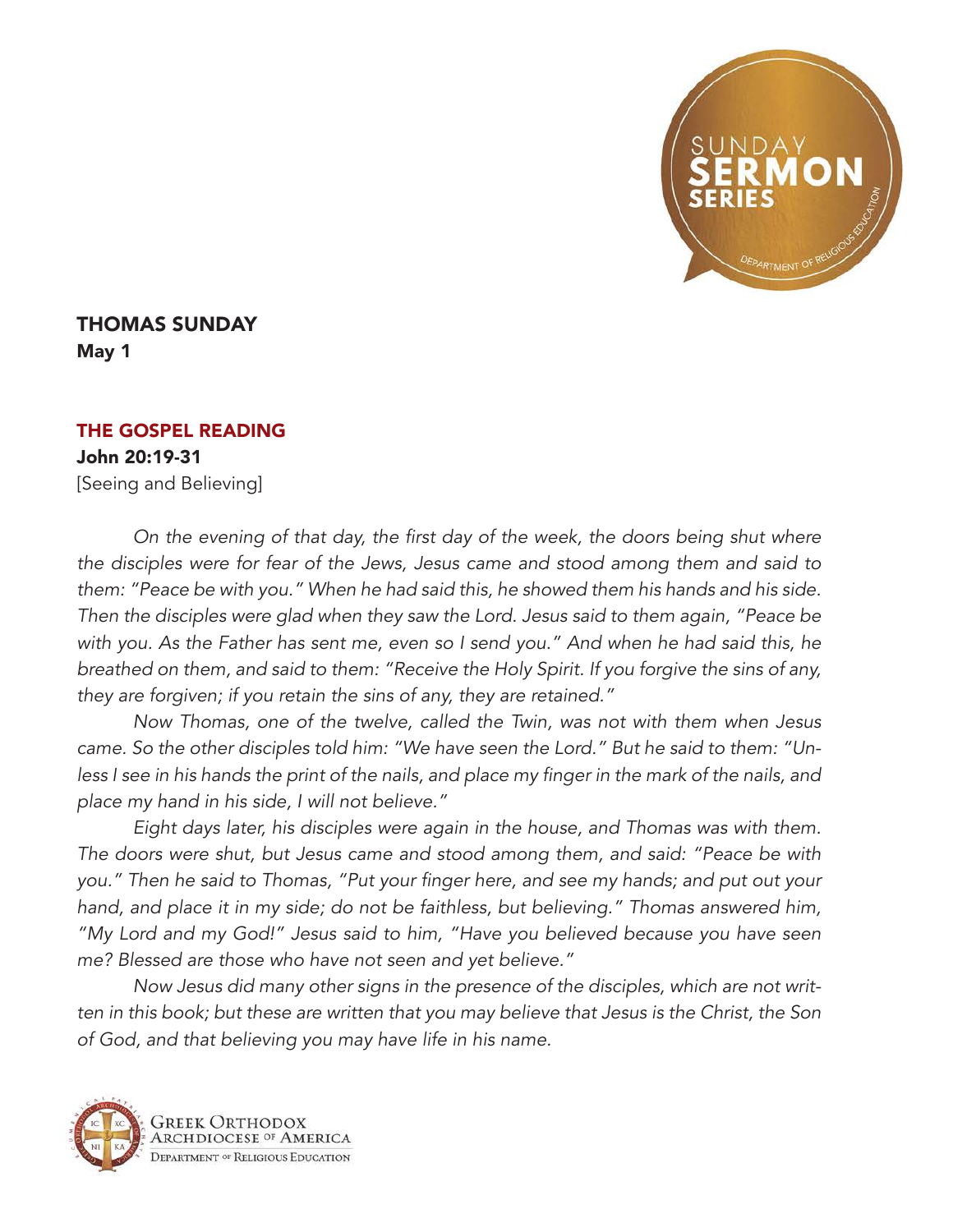

## THOMAS SUNDAY May 1

## THE GOSPEL READING

## John 20:19-31 [Seeing and Believing]

 On the evening of that day, the first day of the week, the doors being shut where the disciples were for fear of the Jews, Jesus came and stood among them and said to them: "Peace be with you." When he had said this, he showed them his hands and his side. Then the disciples were glad when they saw the Lord. Jesus said to them again, "Peace be with you. As the Father has sent me, even so I send you." And when he had said this, he breathed on them, and said to them: "Receive the Holy Spirit. If you forgive the sins of any, they are forgiven; if you retain the sins of any, they are retained."

 Now Thomas, one of the twelve, called the Twin, was not with them when Jesus came. So the other disciples told him: "We have seen the Lord." But he said to them: "Unless I see in his hands the print of the nails, and place my finger in the mark of the nails, and place my hand in his side, I will not believe."

 Eight days later, his disciples were again in the house, and Thomas was with them. The doors were shut, but Jesus came and stood among them, and said: "Peace be with you." Then he said to Thomas, "Put your finger here, and see my hands; and put out your hand, and place it in my side; do not be faithless, but believing." Thomas answered him, "My Lord and my God!" Jesus said to him, "Have you believed because you have seen me? Blessed are those who have not seen and yet believe."

 Now Jesus did many other signs in the presence of the disciples, which are not written in this book; but these are written that you may believe that Jesus is the Christ, the Son of God, and that believing you may have life in his name. 

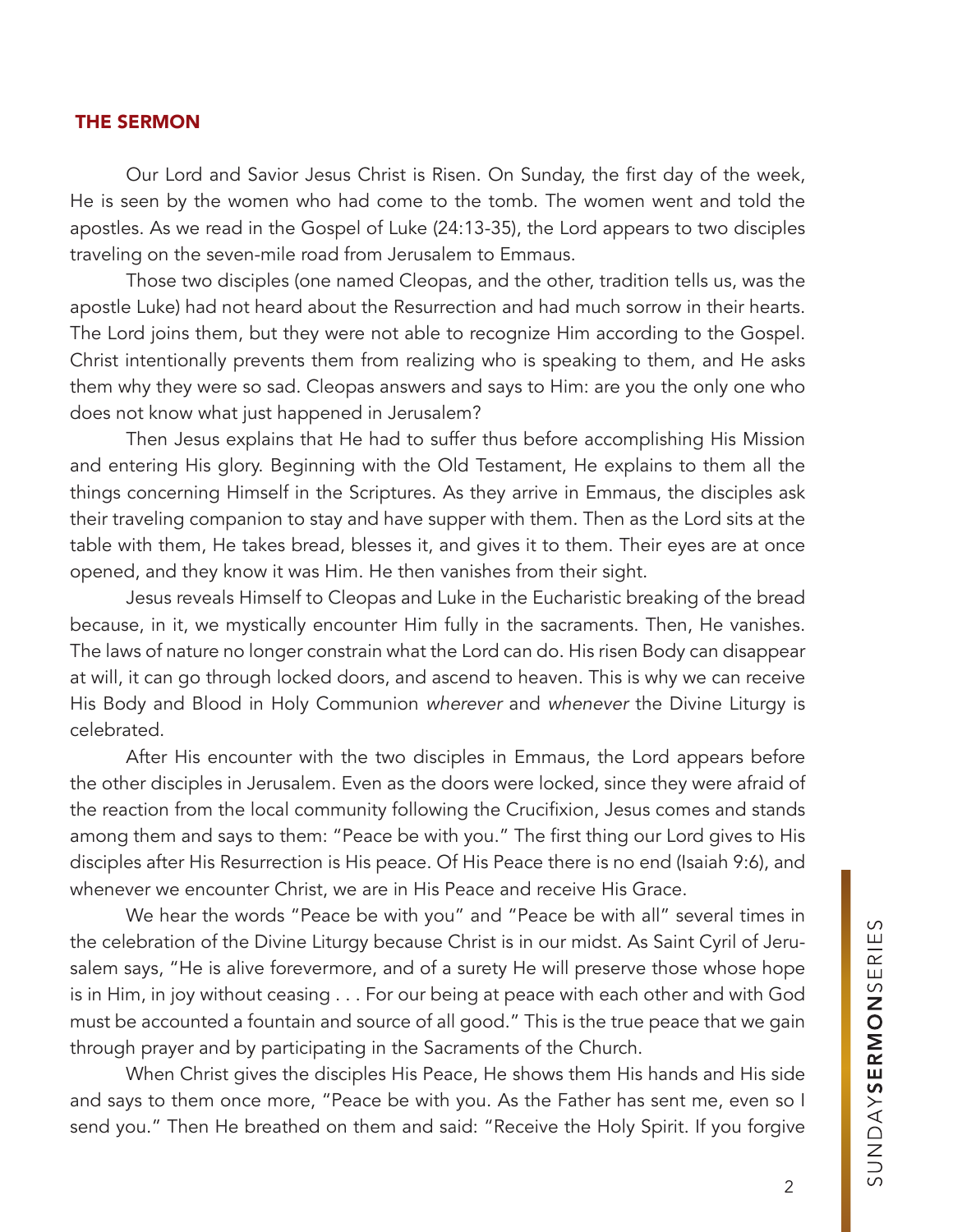## THE SERMON

Our Lord and Savior Jesus Christ is Risen. On Sunday, the first day of the week, He is seen by the women who had come to the tomb. The women went and told the apostles. As we read in the Gospel of Luke (24:13-35), the Lord appears to two disciples traveling on the seven-mile road from Jerusalem to Emmaus.

Those two disciples (one named Cleopas, and the other, tradition tells us, was the apostle Luke) had not heard about the Resurrection and had much sorrow in their hearts. The Lord joins them, but they were not able to recognize Him according to the Gospel. Christ intentionally prevents them from realizing who is speaking to them, and He asks them why they were so sad. Cleopas answers and says to Him: are you the only one who does not know what just happened in Jerusalem?

Then Jesus explains that He had to suffer thus before accomplishing His Mission and entering His glory. Beginning with the Old Testament, He explains to them all the things concerning Himself in the Scriptures. As they arrive in Emmaus, the disciples ask their traveling companion to stay and have supper with them. Then as the Lord sits at the table with them, He takes bread, blesses it, and gives it to them. Their eyes are at once opened, and they know it was Him. He then vanishes from their sight.

Jesus reveals Himself to Cleopas and Luke in the Eucharistic breaking of the bread because, in it, we mystically encounter Him fully in the sacraments. Then, He vanishes. The laws of nature no longer constrain what the Lord can do. His risen Body can disappear at will, it can go through locked doors, and ascend to heaven. This is why we can receive His Body and Blood in Holy Communion wherever and whenever the Divine Liturgy is celebrated.

After His encounter with the two disciples in Emmaus, the Lord appears before the other disciples in Jerusalem. Even as the doors were locked, since they were afraid of the reaction from the local community following the Crucifixion, Jesus comes and stands among them and says to them: "Peace be with you." The first thing our Lord gives to His disciples after His Resurrection is His peace. Of His Peace there is no end (Isaiah 9:6), and whenever we encounter Christ, we are in His Peace and receive His Grace.

We hear the words "Peace be with you" and "Peace be with all" several times in the celebration of the Divine Liturgy because Christ is in our midst. As Saint Cyril of Jerusalem says, "He is alive forevermore, and of a surety He will preserve those whose hope is in Him, in joy without ceasing . . . For our being at peace with each other and with God must be accounted a fountain and source of all good." This is the true peace that we gain through prayer and by participating in the Sacraments of the Church.

When Christ gives the disciples His Peace, He shows them His hands and His side and says to them once more, "Peace be with you. As the Father has sent me, even so I send you." Then He breathed on them and said: "Receive the Holy Spirit. If you forgive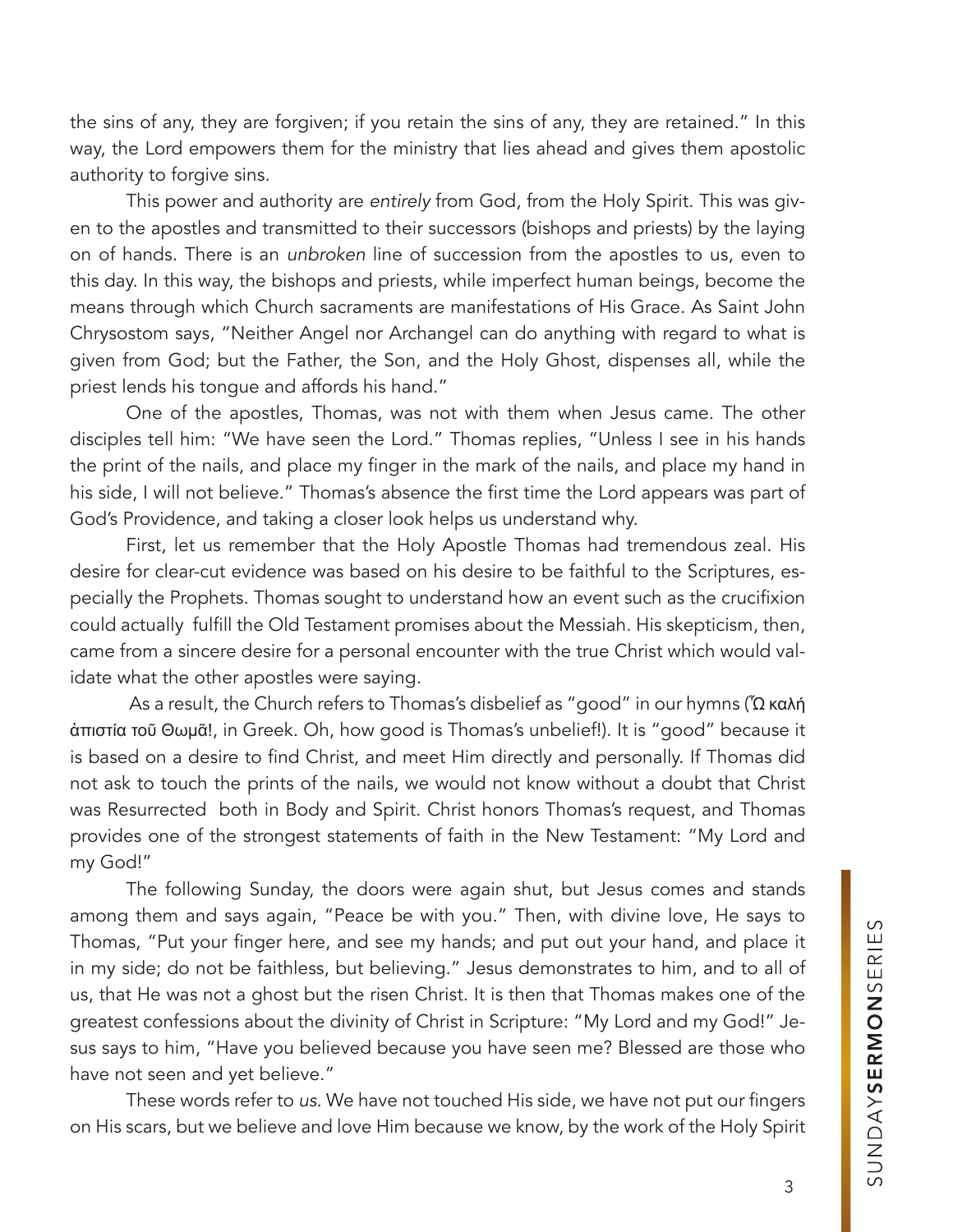the sins of any, they are forgiven; if you retain the sins of any, they are retained." In this way, the Lord empowers them for the ministry that lies ahead and gives them apostolic authority to forgive sins.

This power and authority are entirely from God, from the Holy Spirit. This was given to the apostles and transmitted to their successors (bishops and priests) by the laying on of hands. There is an unbroken line of succession from the apostles to us, even to this day. In this way, the bishops and priests, while imperfect human beings, become the means through which Church sacraments are manifestations of His Grace. As Saint John Chrysostom says, "Neither Angel nor Archangel can do anything with regard to what is given from God; but the Father, the Son, and the Holy Ghost, dispenses all, while the priest lends his tongue and affords his hand."

One of the apostles, Thomas, was not with them when Jesus came. The other disciples tell him: "We have seen the Lord." Thomas replies, "Unless I see in his hands the print of the nails, and place my finger in the mark of the nails, and place my hand in his side, I will not believe." Thomas's absence the first time the Lord appears was part of God's Providence, and taking a closer look helps us understand why.

First, let us remember that the Holy Apostle Thomas had tremendous zeal. His desire for clear-cut evidence was based on his desire to be faithful to the Scriptures, especially the Prophets. Thomas sought to understand how an event such as the crucifixion could actually fulfill the Old Testament promises about the Messiah. His skepticism, then, came from a sincere desire for a personal encounter with the true Christ which would validate what the other apostles were saying.

 As a result, the Church refers to Thomas's disbelief as "good" in our hymns (Ὦ καλή ἀπιστία τοῦ Θωμᾶ!, in Greek. Oh, how good is Thomas's unbelief!). It is "good" because it is based on a desire to find Christ, and meet Him directly and personally. If Thomas did not ask to touch the prints of the nails, we would not know without a doubt that Christ was Resurrected both in Body and Spirit. Christ honors Thomas's request, and Thomas provides one of the strongest statements of faith in the New Testament: "My Lord and my God!"

The following Sunday, the doors were again shut, but Jesus comes and stands among them and says again, "Peace be with you." Then, with divine love, He says to Thomas, "Put your finger here, and see my hands; and put out your hand, and place it in my side; do not be faithless, but believing." Jesus demonstrates to him, and to all of us, that He was not a ghost but the risen Christ. It is then that Thomas makes one of the greatest confessions about the divinity of Christ in Scripture: "My Lord and my God!" Jesus says to him, "Have you believed because you have seen me? Blessed are those who have not seen and yet believe."

These words refer to us. We have not touched His side, we have not put our fingers on His scars, but we believe and love Him because we know, by the work of the Holy Spirit